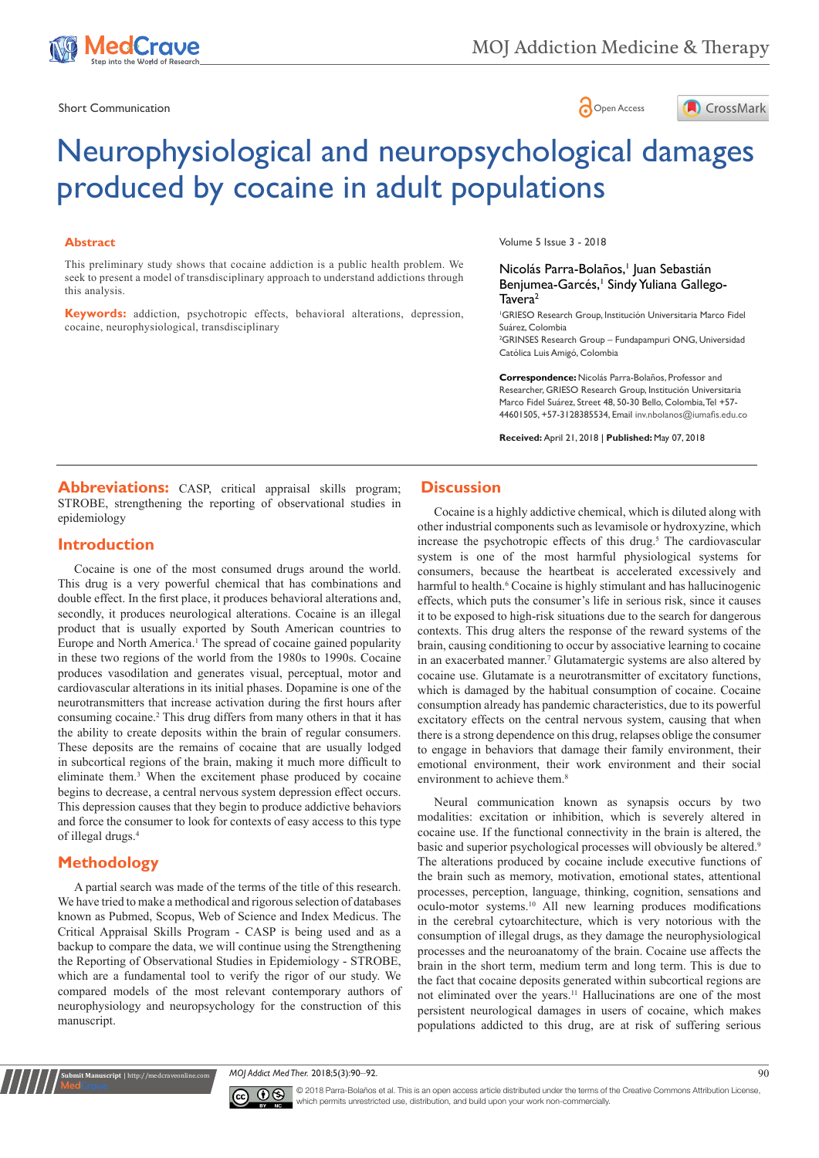

Short Communication and the state of the state of the Short Communication and the Short Communication





# Neurophysiological and neuropsychological damages produced by cocaine in adult populations

#### **Abstract**

This preliminary study shows that cocaine addiction is a public health problem. We seek to present a model of transdisciplinary approach to understand addictions through this analysis.

**Keywords:** addiction, psychotropic effects, behavioral alterations, depression, cocaine, neurophysiological, transdisciplinary

Volume 5 Issue 3 - 2018

#### Nicolás Parra-Bolaños,<sup>†</sup> Juan Sebastián Benjumea-Garcés,<sup>1</sup> Sindy Yuliana Gallego-Tavera<sup>2</sup>

1 GRIESO Research Group, Institución Universitaria Marco Fidel Suárez, Colombia

2 GRINSES Research Group – Fundapampuri ONG, Universidad Católica Luis Amigó, Colombia

**Correspondence:** Nicolás Parra-Bolaños, Professor and Researcher, GRIESO Research Group, Institución Universitaria Marco Fidel Suárez, Street 48, 50-30 Bello, Colombia, Tel +57- 44601505, +57-3128385534, Email inv.nbolanos@iumafis.edu.co

**Received:** April 21, 2018 | **Published:** May 07, 2018

**Abbreviations:** CASP, critical appraisal skills program; STROBE, strengthening the reporting of observational studies in epidemiology

## **Introduction**

Cocaine is one of the most consumed drugs around the world. This drug is a very powerful chemical that has combinations and double effect. In the first place, it produces behavioral alterations and, secondly, it produces neurological alterations. Cocaine is an illegal product that is usually exported by South American countries to Europe and North America.<sup>1</sup> The spread of cocaine gained popularity in these two regions of the world from the 1980s to 1990s. Cocaine produces vasodilation and generates visual, perceptual, motor and cardiovascular alterations in its initial phases. Dopamine is one of the neurotransmitters that increase activation during the first hours after consuming cocaine.<sup>2</sup> This drug differs from many others in that it has the ability to create deposits within the brain of regular consumers. These deposits are the remains of cocaine that are usually lodged in subcortical regions of the brain, making it much more difficult to eliminate them.3 When the excitement phase produced by cocaine begins to decrease, a central nervous system depression effect occurs. This depression causes that they begin to produce addictive behaviors and force the consumer to look for contexts of easy access to this type of illegal drugs.4

# **Methodology**

**nit Manuscript** | http://medcraveonline

A partial search was made of the terms of the title of this research. We have tried to make a methodical and rigorous selection of databases known as Pubmed, Scopus, Web of Science and Index Medicus. The Critical Appraisal Skills Program - CASP is being used and as a backup to compare the data, we will continue using the Strengthening the Reporting of Observational Studies in Epidemiology - STROBE, which are a fundamental tool to verify the rigor of our study. We compared models of the most relevant contemporary authors of neurophysiology and neuropsychology for the construction of this manuscript.

## **Discussion**

Cocaine is a highly addictive chemical, which is diluted along with other industrial components such as levamisole or hydroxyzine, which increase the psychotropic effects of this drug.<sup>5</sup> The cardiovascular system is one of the most harmful physiological systems for consumers, because the heartbeat is accelerated excessively and harmful to health.<sup>6</sup> Cocaine is highly stimulant and has hallucinogenic effects, which puts the consumer's life in serious risk, since it causes it to be exposed to high-risk situations due to the search for dangerous contexts. This drug alters the response of the reward systems of the brain, causing conditioning to occur by associative learning to cocaine in an exacerbated manner.<sup>7</sup> Glutamatergic systems are also altered by cocaine use. Glutamate is a neurotransmitter of excitatory functions, which is damaged by the habitual consumption of cocaine. Cocaine consumption already has pandemic characteristics, due to its powerful excitatory effects on the central nervous system, causing that when there is a strong dependence on this drug, relapses oblige the consumer to engage in behaviors that damage their family environment, their emotional environment, their work environment and their social environment to achieve them.<sup>8</sup>

Neural communication known as synapsis occurs by two modalities: excitation or inhibition, which is severely altered in cocaine use. If the functional connectivity in the brain is altered, the basic and superior psychological processes will obviously be altered.<sup>9</sup> The alterations produced by cocaine include executive functions of the brain such as memory, motivation, emotional states, attentional processes, perception, language, thinking, cognition, sensations and oculo-motor systems.10 All new learning produces modifications in the cerebral cytoarchitecture, which is very notorious with the consumption of illegal drugs, as they damage the neurophysiological processes and the neuroanatomy of the brain. Cocaine use affects the brain in the short term, medium term and long term. This is due to the fact that cocaine deposits generated within subcortical regions are not eliminated over the years.11 Hallucinations are one of the most persistent neurological damages in users of cocaine, which makes populations addicted to this drug, are at risk of suffering serious

*MOJ Addict Med Ther.* 2018;5(3):90‒92. 90



© 2018 Parra-Bolaños et al. This is an open access article distributed under the terms of the [Creative Commons Attribution License](https://creativecommons.org/licenses/by-nc/4.0/), which permits unrestricted use, distribution, and build upon your work non-commercially.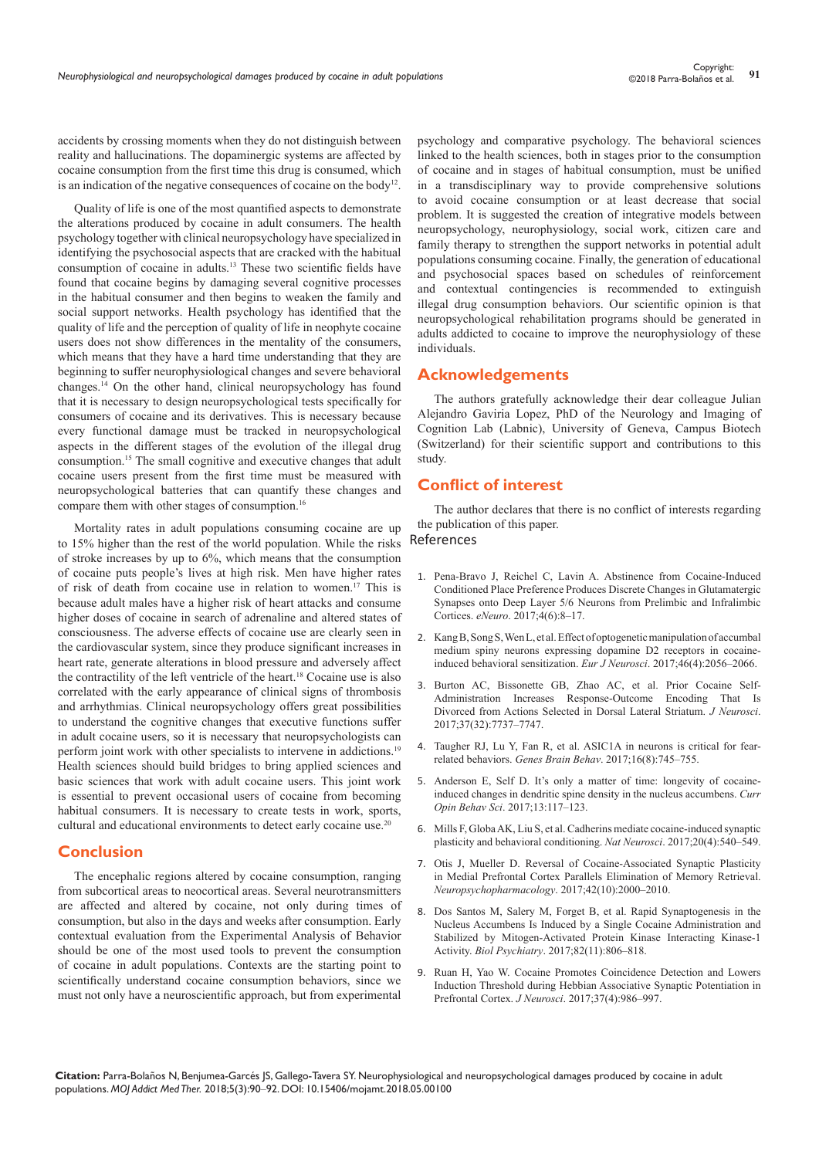accidents by crossing moments when they do not distinguish between reality and hallucinations. The dopaminergic systems are affected by cocaine consumption from the first time this drug is consumed, which is an indication of the negative consequences of cocaine on the body<sup>12</sup>.

Quality of life is one of the most quantified aspects to demonstrate the alterations produced by cocaine in adult consumers. The health psychology together with clinical neuropsychology have specialized in identifying the psychosocial aspects that are cracked with the habitual consumption of cocaine in adults.13 These two scientific fields have found that cocaine begins by damaging several cognitive processes in the habitual consumer and then begins to weaken the family and social support networks. Health psychology has identified that the quality of life and the perception of quality of life in neophyte cocaine users does not show differences in the mentality of the consumers, which means that they have a hard time understanding that they are beginning to suffer neurophysiological changes and severe behavioral changes.14 On the other hand, clinical neuropsychology has found that it is necessary to design neuropsychological tests specifically for consumers of cocaine and its derivatives. This is necessary because every functional damage must be tracked in neuropsychological aspects in the different stages of the evolution of the illegal drug consumption.15 The small cognitive and executive changes that adult cocaine users present from the first time must be measured with neuropsychological batteries that can quantify these changes and compare them with other stages of consumption.16

Mortality rates in adult populations consuming cocaine are up to 15% higher than the rest of the world population. While the risks of stroke increases by up to 6%, which means that the consumption of cocaine puts people's lives at high risk. Men have higher rates of risk of death from cocaine use in relation to women.17 This is because adult males have a higher risk of heart attacks and consume higher doses of cocaine in search of adrenaline and altered states of consciousness. The adverse effects of cocaine use are clearly seen in the cardiovascular system, since they produce significant increases in heart rate, generate alterations in blood pressure and adversely affect the contractility of the left ventricle of the heart.18 Cocaine use is also correlated with the early appearance of clinical signs of thrombosis and arrhythmias. Clinical neuropsychology offers great possibilities to understand the cognitive changes that executive functions suffer in adult cocaine users, so it is necessary that neuropsychologists can perform joint work with other specialists to intervene in addictions.19 Health sciences should build bridges to bring applied sciences and basic sciences that work with adult cocaine users. This joint work is essential to prevent occasional users of cocaine from becoming habitual consumers. It is necessary to create tests in work, sports, cultural and educational environments to detect early cocaine use.<sup>20</sup>

### **Conclusion**

The encephalic regions altered by cocaine consumption, ranging from subcortical areas to neocortical areas. Several neurotransmitters are affected and altered by cocaine, not only during times of consumption, but also in the days and weeks after consumption. Early contextual evaluation from the Experimental Analysis of Behavior should be one of the most used tools to prevent the consumption of cocaine in adult populations. Contexts are the starting point to scientifically understand cocaine consumption behaviors, since we must not only have a neuroscientific approach, but from experimental psychology and comparative psychology. The behavioral sciences linked to the health sciences, both in stages prior to the consumption of cocaine and in stages of habitual consumption, must be unified in a transdisciplinary way to provide comprehensive solutions to avoid cocaine consumption or at least decrease that social problem. It is suggested the creation of integrative models between neuropsychology, neurophysiology, social work, citizen care and family therapy to strengthen the support networks in potential adult populations consuming cocaine. Finally, the generation of educational and psychosocial spaces based on schedules of reinforcement and contextual contingencies is recommended to extinguish illegal drug consumption behaviors. Our scientific opinion is that neuropsychological rehabilitation programs should be generated in adults addicted to cocaine to improve the neurophysiology of these individuals.

### **Acknowledgements**

The authors gratefully acknowledge their dear colleague Julian Alejandro Gaviria Lopez, PhD of the Neurology and Imaging of Cognition Lab (Labnic), University of Geneva, Campus Biotech (Switzerland) for their scientific support and contributions to this study.

## **Conflict of interest**

The author declares that there is no conflict of interests regarding the publication of this paper.

## References

- 1. [Pena-Bravo J, Reichel C, Lavin A. Abstinence from Cocaine-Induced](https://www.ncbi.nlm.nih.gov/pubmed/29242822)  [Conditioned Place Preference Produces Discrete Changes in Glutamatergic](https://www.ncbi.nlm.nih.gov/pubmed/29242822)  [Synapses onto Deep Layer 5/6 Neurons from Prelimbic and Infralimbic](https://www.ncbi.nlm.nih.gov/pubmed/29242822)  Cortices. *eNeuro*[. 2017;4\(6\):8–17.](https://www.ncbi.nlm.nih.gov/pubmed/29242822)
- 2. [Kang B, Song S, Wen L, et al. Effect of optogenetic manipulation of accumbal](https://www.ncbi.nlm.nih.gov/pubmed/28708260)  [medium spiny neurons expressing dopamine D2 receptors in cocaine](https://www.ncbi.nlm.nih.gov/pubmed/28708260)[induced behavioral sensitization.](https://www.ncbi.nlm.nih.gov/pubmed/28708260) *Eur J Neurosci*. 2017;46(4):2056–2066.
- 3. [Burton AC, Bissonette GB, Zhao AC, et al. Prior Cocaine Self-](https://www.ncbi.nlm.nih.gov/pubmed/28694335)[Administration Increases Response-Outcome Encoding That Is](https://www.ncbi.nlm.nih.gov/pubmed/28694335)  [Divorced from Actions Selected in Dorsal Lateral Striatum.](https://www.ncbi.nlm.nih.gov/pubmed/28694335) *J Neurosci*. [2017;37\(32\):7737–7747.](https://www.ncbi.nlm.nih.gov/pubmed/28694335)
- 4. [Taugher RJ, Lu Y, Fan R, et al. ASIC1A in neurons is critical for fear](https://www.ncbi.nlm.nih.gov/pubmed/28657172)related behaviors. *Genes Brain Behav*[. 2017;16\(8\):745–755.](https://www.ncbi.nlm.nih.gov/pubmed/28657172)
- 5. [Anderson E, Self D. It's only a matter of time: longevity of cocaine](https://www.sciencedirect.com/science/article/pii/S2352154616302479)[induced changes in dendritic spine density in the nucleus accumbens.](https://www.sciencedirect.com/science/article/pii/S2352154616302479) *Curr Opin Behav Sci*[. 2017;13:117–123.](https://www.sciencedirect.com/science/article/pii/S2352154616302479)
- 6. [Mills F, Globa AK, Liu S, et al. Cadherins mediate cocaine-induced synaptic](https://www.ncbi.nlm.nih.gov/pubmed/28192395)  [plasticity and behavioral conditioning.](https://www.ncbi.nlm.nih.gov/pubmed/28192395) *Nat Neurosci*. 2017;20(4):540–549.
- 7. [Otis J, Mueller D. Reversal of Cocaine-Associated Synaptic Plasticity](https://www.ncbi.nlm.nih.gov/pubmed/28466871)  [in Medial Prefrontal Cortex Parallels Elimination of Memory Retrieval.](https://www.ncbi.nlm.nih.gov/pubmed/28466871)  *[Neuropsychopharmacology](https://www.ncbi.nlm.nih.gov/pubmed/28466871)*. 2017;42(10):2000–2010.
- 8. [Dos Santos M, Salery M, Forget B, et al. Rapid Synaptogenesis in the](https://www.ncbi.nlm.nih.gov/pubmed/28545678)  [Nucleus Accumbens Is Induced by a Single Cocaine Administration and](https://www.ncbi.nlm.nih.gov/pubmed/28545678)  [Stabilized by Mitogen-Activated Protein Kinase Interacting Kinase-1](https://www.ncbi.nlm.nih.gov/pubmed/28545678)  Activity. *Biol Psychiatry*[. 2017;82\(11\):806–818.](https://www.ncbi.nlm.nih.gov/pubmed/28545678)
- 9. [Ruan H, Yao W. Cocaine Promotes Coincidence Detection and Lowers](https://www.ncbi.nlm.nih.gov/pubmed/28123030/)  [Induction Threshold during Hebbian Associative Synaptic Potentiation in](https://www.ncbi.nlm.nih.gov/pubmed/28123030/)  Prefrontal Cortex. *J Neurosci*[. 2017;37\(4\):986–997.](https://www.ncbi.nlm.nih.gov/pubmed/28123030/)